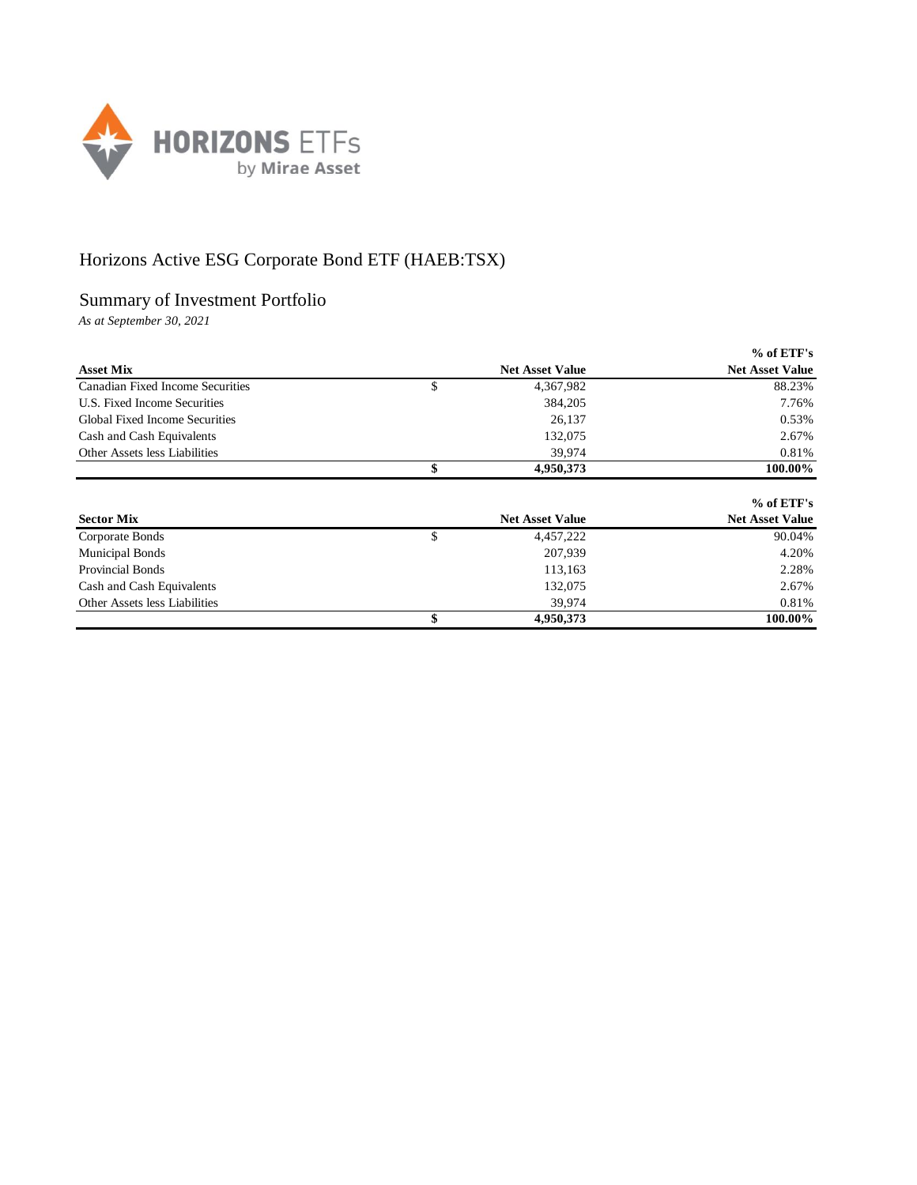

## Horizons Active ESG Corporate Bond ETF (HAEB:TSX)

## Summary of Investment Portfolio

*As at September 30, 2021*

|                                       |                        | $%$ of ETF's           |
|---------------------------------------|------------------------|------------------------|
| <b>Asset Mix</b>                      | <b>Net Asset Value</b> | <b>Net Asset Value</b> |
| Canadian Fixed Income Securities      | \$<br>4,367,982        | 88.23%                 |
| U.S. Fixed Income Securities          | 384,205                | 7.76%                  |
| <b>Global Fixed Income Securities</b> | 26,137                 | 0.53%                  |
| Cash and Cash Equivalents             | 132,075                | 2.67%                  |
| Other Assets less Liabilities         | 39,974                 | 0.81%                  |
|                                       | \$<br>4,950,373        | 100.00%                |
|                                       |                        |                        |
|                                       |                        | $%$ of ETF's           |
| <b>Sector Mix</b>                     | <b>Net Asset Value</b> | <b>Net Asset Value</b> |
| Corporate Bonds                       | \$<br>4,457,222        | 90.04%                 |
| <b>Municipal Bonds</b>                | 207,939                | 4.20%                  |
| <b>Provincial Bonds</b>               | 113,163                | 2.28%                  |
| Cash and Cash Equivalents             | 132,075                | 2.67%                  |
| Other Assets less Liabilities         | 39,974                 | 0.81%                  |

Other Assets less Liabilities 39,974 0.81% 0.81% 39,974 0.81% 0.81% 0.81% 0.81% 0.81% 0.81% 0.81% 0.81% 0.81% 0.81% 0.81% 0.81% 0.81% 0.81% 0.81% 0.81% 0.81% 0.81% 0.81% 0.81% 0.81% 0.81% 0.81% 0.81% 0.81% 0.81% 0.81% 0.81

**\$ 4,950,373 100.00%**